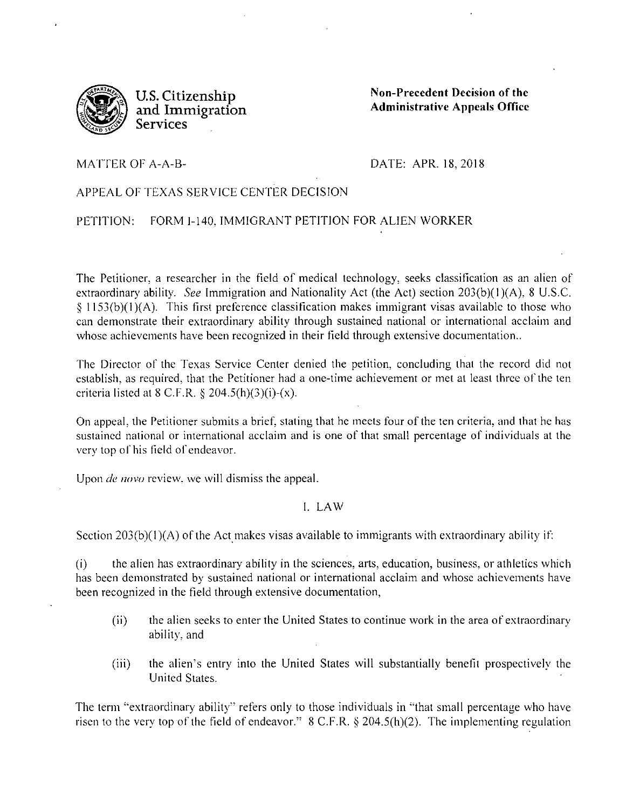

**U.S. Citizenship and Immigration Services** 

**Non-Precedent Decision of the Administrative Appeals Office** 

MATTER OF A-A-8-

DATE: APR. 18,2018

## APPEAL OF TEXAS SERVICE CENTER DECISION

PETITION: FORM 1-140, IMMIGRANT PETITION FOR ALIEN WORKER

The Petitioner, a researcher in the field of medical technology, seeks classitication as an alien of extraordinary ability. *See* Immigration and Nationality Act (the Act) section 203(b)(I)(A), 8 U.S.C. § 1153(b)(l )(A). This first preference classitication makes immigrant visas available to those who can demonstrate their extraordinary ability through sustained national or international acclaim and whose achievements have been recognized in their field through extensive documentation..

The Director of the Texas Service Center denied the petition, concluding that the record did not establish, as required, that the Petitioner had a one-time achievement or met at least three of the ten criteria listed at  $8$  C.F.R.  $8$  204.5(h)(3)(i)-(x).

On appeal, the Petitioner submits a brief, stating that he meets four of the ten criteria, and that he has sustained national or international acclaim and is one of that small percentage of individuals at the very top of his field of endeavor.

Upon *de novo* review, we will dismiss the appeal.

## I. LAW

Section  $203(b)(1)(A)$  of the Act makes visas available to immigrants with extraordinary ability if:

(i) the alien has extraordinary ability in the sciences, arts, education, business, or athletics which has been demonstrated by sustained national or international acclaim and whose achievements have been recognized in the field through extensive documentation,

- (ii) the alien seeks to enter the United States to continue work in the area of extraordinary ability, and
- (iii) the alien's entry into the United States will substantially benefit prospectively the United States.

The term "extraordinary ability" refers only to those individuals in "that small percentage who have risen to the very top of the field of endeavor." 8 C.F.R. *§* 204.5(h)(2). The implementing regulation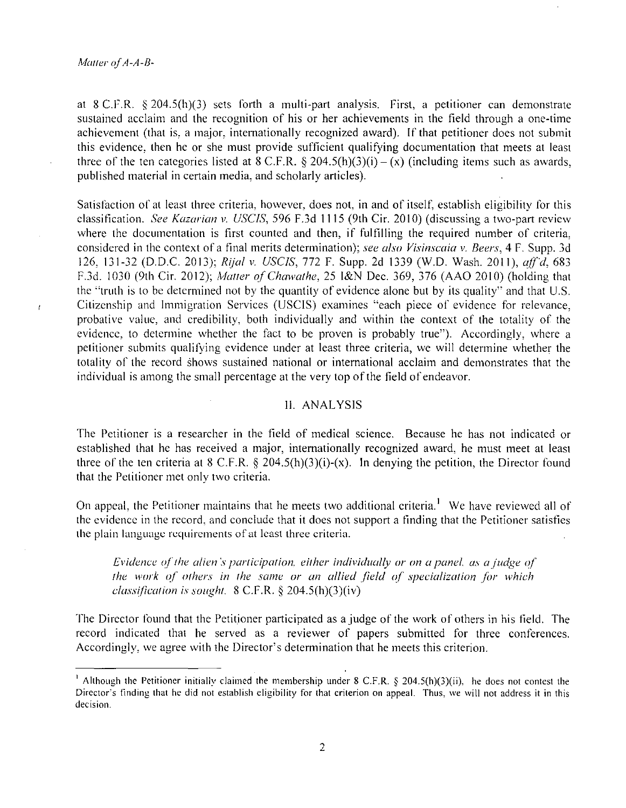$\mathbf{r}$ 

at 8 C.F.R.  $\S 204.5(h)(3)$  sets forth a multi-part analysis. First, a petitioner can demonstrate sustained acclaim and the recognition of his or her achievements in the field through a one-time achievement (that is, a major. internationally recognized award). If that petitioner does not submit this evidence, then he or she must provide sufficient qualifying documentation that meets at least three of the ten categories listed at 8 C.F.R. § 204.5(h)(3)(i) – (x) (including items such as awards, published material in certain media, and scholarly articles).

Satisfaction of at least three criteria, however, does not, in and of itselt; establish eligibility for this classification. *See Kazarian v. USCIS,* 596 F.3d 1115 (9th Cir. 2010) (discussing a two-part review where the documentation is first counted and then, if fulfilling the required number of criteria, considered in the context of a tina! merits determination); *see also Visinscaia v. Beers,* 4 F. Supp. 3d 126, 131-32 (D.D.C. 2013); *Rijal v. USCJS,* 772 F. Supp. 2d 1339 (W.O. Wash. 2011), *aff'd,* 683 F.3d. 1030 (9th Cir. 2012); *Maller ofChawathe,* 25 l&N Dec. 369, 376 (AAO 2010) (holding that the "truth is to be determined not by the quantity of evidence alone but by its quality" and that U.S. Citizenship and Immigration Services (USCIS) examines "each piece of evidence for relevance, probative value, and credibility, both individually and within the context of the totality of the evidence, to determine whether the fact to be proven is probably true"). Accordingly, where a petitioner submits qualifying evidence under at least three criteria, we will determine whether the totality of the record shows sustained national or international acclaim and demonstrates that the individual is among the small percentage at the very top of the field of endeavor.

## II. ANALYSIS

The Petitioner is a researcher in the tield of medical science. Because he has not indicated or established that he has received a major, internationally recognized award, he must meet at least three of the ten criteria at 8 C.F.R.  $\S$  204.5(h)(3)(i)-(x). In denying the petition, the Director found that the Petitioner met only two criteria.

On appeal, the Petitioner maintains that he meets two additional criteria.<sup>1</sup> We have reviewed all of the evidence in the record, and conclude that it does not support a finding that the Petitioner satisfies **the plain language requirements of at least three criteria.** 

*Evidence of the alien's participation, either individually or on a panel, as a judge of the work of others in the same or an allied field of specialization for which classificarion is soughr.* 8 C.F.R. § 204.5(h)(3)(iv)

The Director found that the Petitioner participated as a judge of the work of others in his tield. The record indicated that he served as a reviewer of papers submitted for three conferences. Accordingly, we agree with the Director's determination that he meets this criterion.

<sup>&</sup>lt;sup>1</sup> Although the Petitioner initially claimed the membership under 8 C.F.R.  $\S$  204.5(h)(3)(ii), he does not contest the Director's finding that he did not establish eligibility for that criterion on appeal. Thus, we will not address it in this **decision.**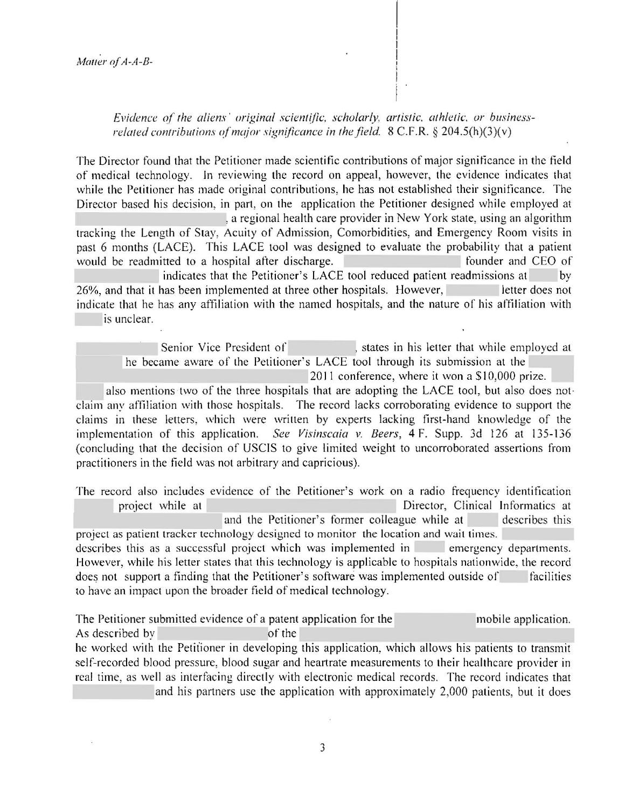*Evidence qf the aliens· original scientific, scholarly. artistic. athletic. or businessrelated contributions of major significance in the field.*  $8 \text{ C.F.R.} \$  $8 \cdot 204.5(h)(3)(v)$ 

The Director found that the Petitioner made scientific contributions of major signiticance in the field of medical technology. In reviewing the record on appeal, however, the evidence indicates that while the Petitioner has made original contributions, he has not established their significance. The Director based his decision, in part, on the application the Petitioner designed while employed at , a regional health care provider in New York state, using an algorithm tracking the Length of Stay, Acuity of Admission, Comorbidities, and Emergency Room visits in past 6 months (LACE). This LACE tool was designed to evaluate the probability that a patient would be readmitted to a hospital after discharge. Founder and CEO of indicates that the Petitioner's LACE tool reduced patient readmissions at by 26%, and that it has been implemented at three other hospitals. However, letter does not indicate that he has any affiliation with the named hospitals, and the nature of his affiliation with is unclear.

Senior Vice President of , states in his letter that while employed at he became aware of the Petitioner's LACE tool through its submission at the 2011 conference, where it won a \$10,000 prize.

also mentions two of the three hospitals that are adopting the LACE tool, but also does not· claim any affiliation with those hospitals. The record lacks corroborating evidence to support the claims in these letters, which were written by experts lacking first-hand knowledge of the implementation of this application. *See Visinscaia* v. *Beers,* 4 F. Supp. 3d 126 at 135-136 (concluding that the decision of USCIS to give limited weight to uncorroborated assertions from practitioners in the tield was not arbitrary and capricious).

The record also includes evidence of the Petitioner's work on a radio frequency identification project while at Director, Clinical Informatics at and the Petitioner's former colleague while at describes this project as patient tracker technology designed to monitor the location and wait times. describes this as a successful project which was implemented in emergency departments. However, while his letter states that this technology is applicable to hospitals nationwide, the record does not support a finding that the Petitioner's software was implemented outside of facilities to have an impact upon the broader field of medical technology.

The Petitioner submitted evidence of a patent application for the mobile application. As described by of the of the of the of the state of the state of the state of the state of the state of the state of the state of the state of the state of the state of the state of the state of the state of the state of he worked with the Petitioner in developing this application, which allows his patients to transmit self-recorded blood pressure, blood sugar and heartrate measurements to their hcalthcare provider in real time, as well as interfacing directly with electronic medical records. The record indicates that and his partners usc the application with approximately 2,000 patients, but it does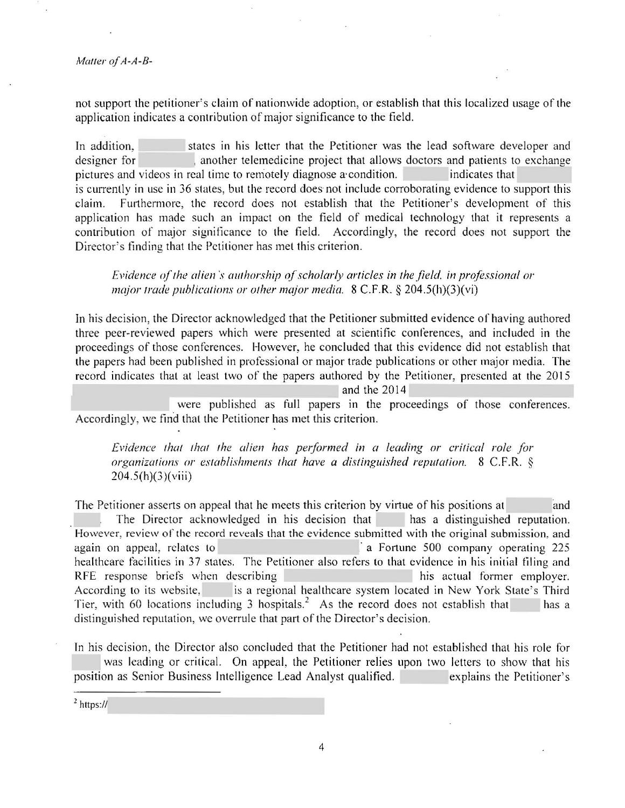.

not support the petitioner's claim of nationwide adoption, or establish that this localized usage of the application indicates a contribution of major significance to the field.

In addition, states in his letter that the Petitioner was the lead software developer and designer for , another telemedicine project that allows doctors and patients to exchange pictures and videos in real time to remotely diagnose a condition. indicates that is currently in use in 36 states, but the record does not include corroborating evidence to support this claim. Furthermore, the record does not establish that the Petitioner's development of this application has made such an impact on the field of medical technology that it represents a contribution of major significance to the field. Accordingly, the record does not support the Director's finding that the Petitioner has met this criterion.

*Evidence of the alien's authorship of scholarly articles in the field, in professional or major 1rade publications or other major media.* 8 C.F.R. § 204.5(h)(3)(vi)

In his decision, the Director acknowledged that the Petitioner submitted evidence of having authored three peer-reviewed papers which were presented at scientific conferences, and included in the proceedings of those conferences. However, he concluded that this evidence did not establish that the papers had been published in professional or major trade publications or other major media. The record indicates that at least two of the papers authored by the Petitioner, presented at the 2015

and the 2014

were published as full papers in the proceedings of those conferences. Accordingly, we find that the Petitioner has met this criterion.

*Evidence that that the alien has performed in a leading or critical role for organizations or establishments that have a distinguished reputation.* 8 C.F.R. §  $204.5(h)(3)$ (viii)

The Petitioner asserts on appeal that he meets this criterion by virtue of his positions at and The Director acknowledged in his decision that has a distinguished reputation. However, review of the record reveals that the evidence submitted with the original submission, and again on appeal, relates to , and a Fortune 500 company operating 225 healthcare facilities in 37 states. The Petitioner also refers to that evidence in his initial filing and RFE response briefs when describing his actual former employer. According to its website, is a regional healthcare system located in New York State's Third Tier, with 60 locations including 3 hospitals.<sup>2</sup> As the record does not establish that has a distinguished reputation, we overrule that part of the Director's decision.

In his decision, the Director also concluded that the Petitioner had not established that his role for was leading or critical. On appeal, the Petitioner relies upon two letters to show that his position as Senior Business Intelligence Lead Analyst qualified. explains the Petitioner's

*<sup>2</sup>*https://